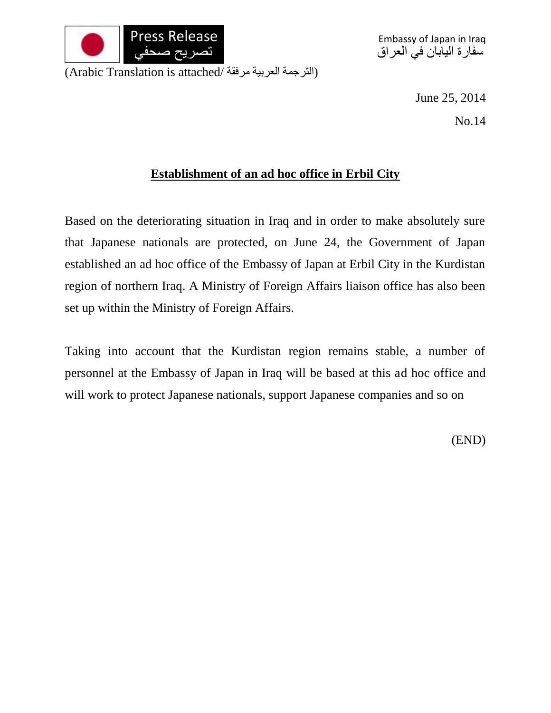

June 25, 2014

No.14

## **Establishment of an ad hoc office in Erbil City**

Based on the deteriorating situation in Iraq and in order to make absolutely sure that Japanese nationals are protected, on June 24, the Government of Japan established an ad hoc office of the Embassy of Japan at Erbil City in the Kurdistan region of northern Iraq. A Ministry of Foreign Affairs liaison office has also been set up within the Ministry of Foreign Affairs.

Taking into account that the Kurdistan region remains stable, a number of personnel at the Embassy of Japan in Iraq will be based at this ad hoc office and will work to protect Japanese nationals, support Japanese companies and so on

(END)